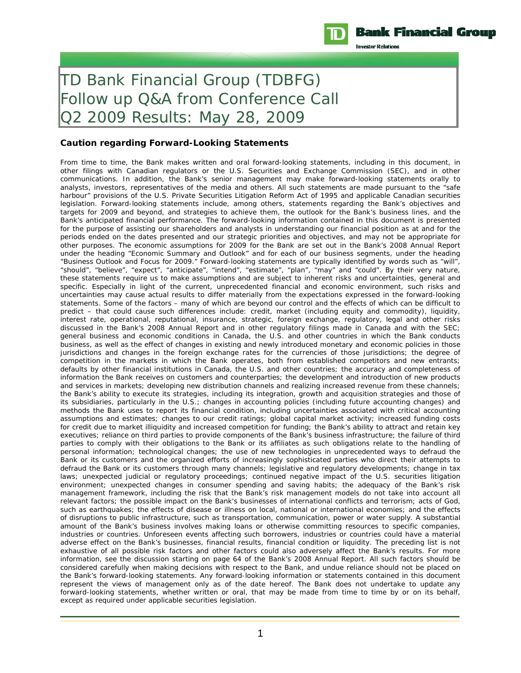

**Investor Relations** 

## TD Bank Financial Group (TDBFG) Follow up Q&A from Conference Call Q2 2009 Results: May 28, 2009

## **Caution regarding Forward-Looking Statements**

From time to time, the Bank makes written and oral forward-looking statements, including in this document, in other filings with Canadian regulators or the U.S. Securities and Exchange Commission (SEC), and in other communications. In addition, the Bank's senior management may make forward-looking statements orally to analysts, investors, representatives of the media and others. All such statements are made pursuant to the "safe harbour" provisions of the U.S. Private Securities Litigation Reform Act of 1995 and applicable Canadian securities legislation. Forward-looking statements include, among others, statements regarding the Bank's objectives and targets for 2009 and beyond, and strategies to achieve them, the outlook for the Bank's business lines, and the Bank's anticipated financial performance. The forward-looking information contained in this document is presented for the purpose of assisting our shareholders and analysts in understanding our financial position as at and for the periods ended on the dates presented and our strategic priorities and objectives, and may not be appropriate for other purposes. The economic assumptions for 2009 for the Bank are set out in the Bank's 2008 Annual Report under the heading "Economic Summary and Outlook" and for each of our business segments, under the heading "Business Outlook and Focus for 2009." Forward-looking statements are typically identified by words such as "will", "should", "believe", "expect", "anticipate", "intend", "estimate", "plan", "may" and "could". By their very nature, these statements require us to make assumptions and are subject to inherent risks and uncertainties, general and specific. Especially in light of the current, unprecedented financial and economic environment, such risks and uncertainties may cause actual results to differ materially from the expectations expressed in the forward-looking statements. Some of the factors – many of which are beyond our control and the effects of which can be difficult to predict – that could cause such differences include: credit, market (including equity and commodity), liquidity, interest rate, operational, reputational, insurance, strategic, foreign exchange, regulatory, legal and other risks discussed in the Bank's 2008 Annual Report and in other regulatory filings made in Canada and with the SEC; general business and economic conditions in Canada, the U.S. and other countries in which the Bank conducts business, as well as the effect of changes in existing and newly introduced monetary and economic policies in those jurisdictions and changes in the foreign exchange rates for the currencies of those jurisdictions; the degree of competition in the markets in which the Bank operates, both from established competitors and new entrants; defaults by other financial institutions in Canada, the U.S. and other countries; the accuracy and completeness of information the Bank receives on customers and counterparties; the development and introduction of new products and services in markets; developing new distribution channels and realizing increased revenue from these channels; the Bank's ability to execute its strategies, including its integration, growth and acquisition strategies and those of its subsidiaries, particularly in the U.S.; changes in accounting policies (including future accounting changes) and methods the Bank uses to report its financial condition, including uncertainties associated with critical accounting assumptions and estimates; changes to our credit ratings; global capital market activity; increased funding costs for credit due to market illiquidity and increased competition for funding; the Bank's ability to attract and retain key executives; reliance on third parties to provide components of the Bank's business infrastructure; the failure of third parties to comply with their obligations to the Bank or its affiliates as such obligations relate to the handling of personal information; technological changes; the use of new technologies in unprecedented ways to defraud the Bank or its customers and the organized efforts of increasingly sophisticated parties who direct their attempts to defraud the Bank or its customers through many channels; legislative and regulatory developments; change in tax laws; unexpected judicial or regulatory proceedings; continued negative impact of the U.S. securities litigation environment; unexpected changes in consumer spending and saving habits; the adequacy of the Bank's risk management framework, including the risk that the Bank's risk management models do not take into account all relevant factors; the possible impact on the Bank's businesses of international conflicts and terrorism; acts of God, such as earthquakes; the effects of disease or illness on local, national or international economies; and the effects of disruptions to public infrastructure, such as transportation, communication, power or water supply. A substantial amount of the Bank's business involves making loans or otherwise committing resources to specific companies, industries or countries. Unforeseen events affecting such borrowers, industries or countries could have a material adverse effect on the Bank's businesses, financial results, financial condition or liquidity. The preceding list is not exhaustive of all possible risk factors and other factors could also adversely affect the Bank's results. For more information, see the discussion starting on page 64 of the Bank's 2008 Annual Report. All such factors should be considered carefully when making decisions with respect to the Bank, and undue reliance should not be placed on the Bank's forward-looking statements. Any forward-looking information or statements contained in this document represent the views of management only as of the date hereof. The Bank does not undertake to update any forward-looking statements, whether written or oral, that may be made from time to time by or on its behalf, except as required under applicable securities legislation.